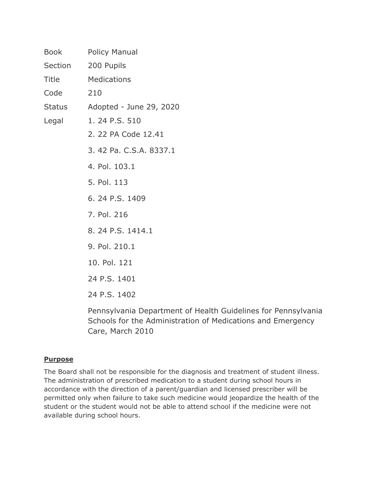| <b>Book</b>  | <b>Policy Manual</b>           |
|--------------|--------------------------------|
| Section      | 200 Pupils                     |
| <b>Title</b> | <b>Medications</b>             |
| Code         | 210                            |
|              | Status Adopted - June 29, 2020 |
| Legal        | 1.24 P.S. 510                  |
|              | 2. 22 PA Code 12.41            |
|              | 3.42 Pa. C.S.A. 8337.1         |
|              | 4. Pol. 103.1                  |
|              | 5. Pol. 113                    |
|              | 6.24 P.S. 1409                 |
|              | 7. Pol. 216                    |
|              | 8. 24 P.S. 1414.1              |
|              | 9. Pol. 210.1                  |
|              | 10. Pol. 121                   |
|              | 24 P.S. 1401                   |
|              | 24 P.S. 1402                   |
|              | Pennsylvania Department        |

It of Health Guidelines for Pennsylvania Schools for the Administration of Medications and Emergency Care, March 2010

## **Purpose**

The Board shall not be responsible for the diagnosis and treatment of student illness. The administration of prescribed medication to a student during school hours in accordance with the direction of a parent/guardian and licensed prescriber will be permitted only when failure to take such medicine would jeopardize the health of the student or the student would not be able to attend school if the medicine were not available during school hours.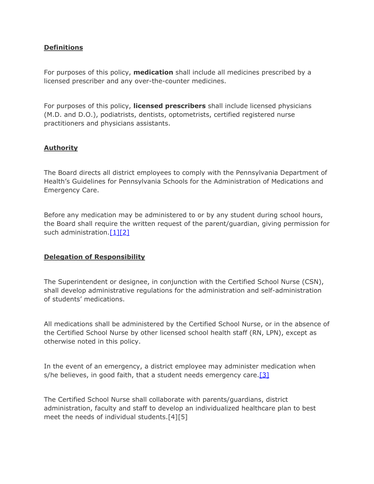### **Definitions**

For purposes of this policy, **medication** shall include all medicines prescribed by a licensed prescriber and any over-the-counter medicines.

For purposes of this policy, **licensed prescribers** shall include licensed physicians (M.D. and D.O.), podiatrists, dentists, optometrists, certified registered nurse practitioners and physicians assistants.

## **Authority**

The Board directs all district employees to comply with the Pennsylvania Department of Health's Guidelines for Pennsylvania Schools for the Administration of Medications and Emergency Care.

Before any medication may be administered to or by any student during school hours, the Board shall require the written request of the parent/guardian, giving permission for such administration.<sup>[\[1\]](http://www.legis.state.pa.us/cfdocs/legis/LI/uconsCheck.cfm?txtType=HTM&yr=1949&sessInd=0&smthLwInd=0&act=14&chpt=5&sctn=10&subsctn=0)[\[2\]](http://pacodeandbulletin.gov/Display/pacode?file=/secure/pacode/data/022/chapter12/s12.41.html&d=reduce)</sup>

### **Delegation of Responsibility**

The Superintendent or designee, in conjunction with the Certified School Nurse (CSN), shall develop administrative regulations for the administration and self-administration of students' medications.

All medications shall be administered by the Certified School Nurse, or in the absence of the Certified School Nurse by other licensed school health staff (RN, LPN), except as otherwise noted in this policy.

In the event of an emergency, a district employee may administer medication when s/he believes, in good faith, that a student needs emergency care. $[3]$ 

The Certified School Nurse shall collaborate with parents/guardians, district administration, faculty and staff to develop an individualized healthcare plan to best meet the needs of individual students.[4][5]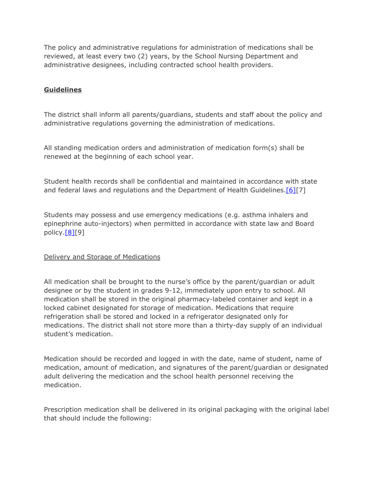The policy and administrative regulations for administration of medications shall be reviewed, at least every two (2) years, by the School Nursing Department and administrative designees, including contracted school health providers.

# **Guidelines**

The district shall inform all parents/guardians, students and staff about the policy and administrative regulations governing the administration of medications.

All standing medication orders and administration of medication form(s) shall be renewed at the beginning of each school year.

Student health records shall be confidential and maintained in accordance with state and federal laws and regulations and the Department of Health Guidelines.[\[6\]](http://www.legis.state.pa.us/cfdocs/legis/LI/uconsCheck.cfm?txtType=HTM&yr=1949&sessInd=0&smthLwInd=0&act=14&chpt=14&sctn=9&subsctn=0)[7]

Students may possess and use emergency medications (e.g. asthma inhalers and epinephrine auto-injectors) when permitted in accordance with state law and Board policy[.\[8\]](https://www.legis.state.pa.us/cfdocs/legis/LI/uconsCheck.cfm?txtType=HTM&yr=1949&sessInd=0&smthLwInd=0&act=14&chpt=14&sctn=14&subsctn=10)[9]

### Delivery and Storage of Medications

All medication shall be brought to the nurse's office by the parent/guardian or adult designee or by the student in grades 9-12, immediately upon entry to school. All medication shall be stored in the original pharmacy-labeled container and kept in a locked cabinet designated for storage of medication. Medications that require refrigeration shall be stored and locked in a refrigerator designated only for medications. The district shall not store more than a thirty-day supply of an individual student's medication.

Medication should be recorded and logged in with the date, name of student, name of medication, amount of medication, and signatures of the parent/guardian or designated adult delivering the medication and the school health personnel receiving the medication.

Prescription medication shall be delivered in its original packaging with the original label that should include the following: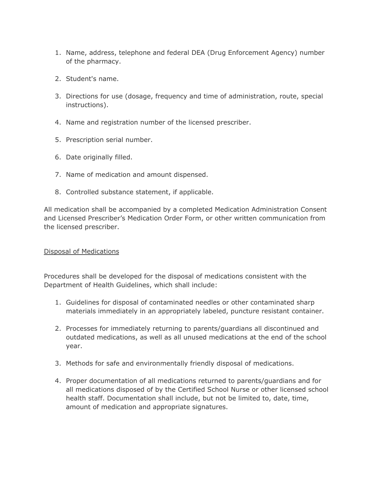- 1. Name, address, telephone and federal DEA (Drug Enforcement Agency) number of the pharmacy.
- 2. Student's name.
- 3. Directions for use (dosage, frequency and time of administration, route, special instructions).
- 4. Name and registration number of the licensed prescriber.
- 5. Prescription serial number.
- 6. Date originally filled.
- 7. Name of medication and amount dispensed.
- 8. Controlled substance statement, if applicable.

All medication shall be accompanied by a completed Medication Administration Consent and Licensed Prescriber's Medication Order Form, or other written communication from the licensed prescriber.

## Disposal of Medications

Procedures shall be developed for the disposal of medications consistent with the Department of Health Guidelines, which shall include:

- 1. Guidelines for disposal of contaminated needles or other contaminated sharp materials immediately in an appropriately labeled, puncture resistant container.
- 2. Processes for immediately returning to parents/guardians all discontinued and outdated medications, as well as all unused medications at the end of the school year.
- 3. Methods for safe and environmentally friendly disposal of medications.
- 4. Proper documentation of all medications returned to parents/guardians and for all medications disposed of by the Certified School Nurse or other licensed school health staff. Documentation shall include, but not be limited to, date, time, amount of medication and appropriate signatures.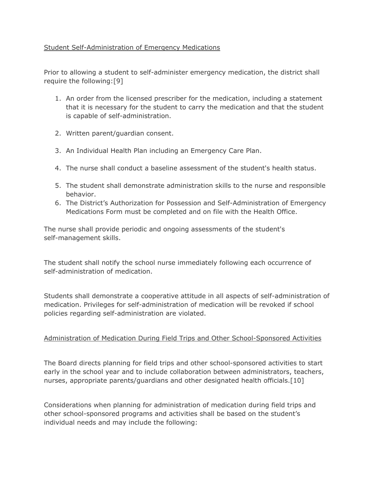## Student Self-Administration of Emergency Medications

Prior to allowing a student to self-administer emergency medication, the district shall require the following:[9]

- 1. An order from the licensed prescriber for the medication, including a statement that it is necessary for the student to carry the medication and that the student is capable of self-administration.
- 2. Written parent/guardian consent.
- 3. An Individual Health Plan including an Emergency Care Plan.
- 4. The nurse shall conduct a baseline assessment of the student's health status.
- 5. The student shall demonstrate administration skills to the nurse and responsible behavior.
- 6. The District's Authorization for Possession and Self-Administration of Emergency Medications Form must be completed and on file with the Health Office.

The nurse shall provide periodic and ongoing assessments of the student's self-management skills.

The student shall notify the school nurse immediately following each occurrence of self-administration of medication.

Students shall demonstrate a cooperative attitude in all aspects of self-administration of medication. Privileges for self-administration of medication will be revoked if school policies regarding self-administration are violated.

### Administration of Medication During Field Trips and Other School-Sponsored Activities

The Board directs planning for field trips and other school-sponsored activities to start early in the school year and to include collaboration between administrators, teachers, nurses, appropriate parents/guardians and other designated health officials.[10]

Considerations when planning for administration of medication during field trips and other school-sponsored programs and activities shall be based on the student's individual needs and may include the following: